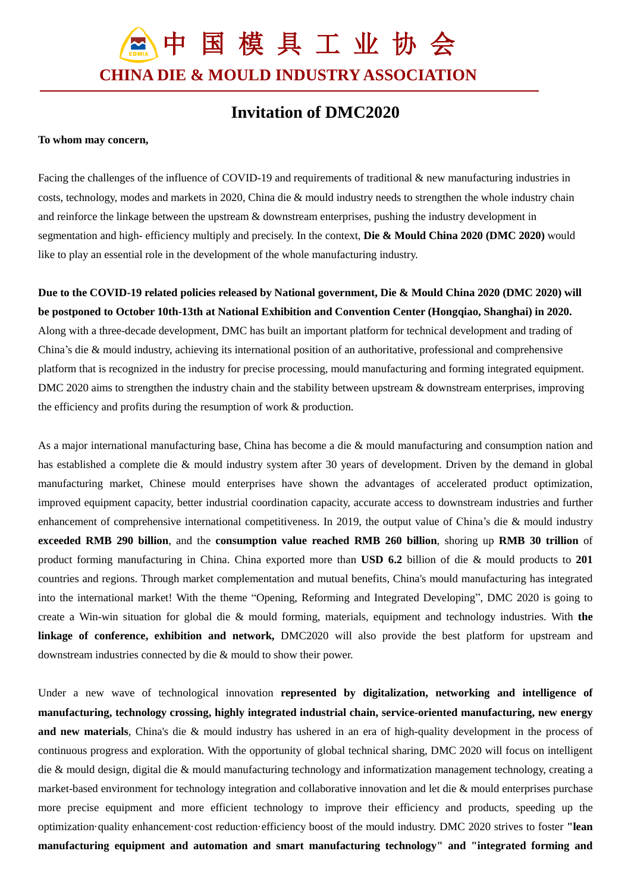中 国 模 具 工 业 协 会 **CHINA DIE & MOULD INDUSTRY ASSOCIATION**

## **Invitation of DMC2020**

## **To whom may concern,**

Facing the challenges of the influence of COVID-19 and requirements of traditional & new manufacturing industries in costs, technology, modes and markets in 2020, China die & mould industry needs to strengthen the whole industry chain and reinforce the linkage between the upstream & downstream enterprises, pushing the industry development in segmentation and high- efficiency multiply and precisely. In the context, **Die & Mould China 2020 (DMC 2020)** would like to play an essential role in the development of the whole manufacturing industry.

**Due to the COVID-19 related policies released by National government, Die & Mould China 2020 (DMC 2020) will be postponed to October 10th-13th at National Exhibition and Convention Center (Hongqiao, Shanghai) in 2020.** Along with a three-decade development, DMC has built an important platform for technical development and trading of China's die & mould industry, achieving its international position of an authoritative, professional and comprehensive platform that is recognized in the industry for precise processing, mould manufacturing and forming integrated equipment. DMC 2020 aims to strengthen the industry chain and the stability between upstream & downstream enterprises, improving the efficiency and profits during the resumption of work & production.

As a major international manufacturing base, China has become a die & mould manufacturing and consumption nation and has established a complete die & mould industry system after 30 years of development. Driven by the demand in global manufacturing market, Chinese mould enterprises have shown the advantages of accelerated product optimization, improved equipment capacity, better industrial coordination capacity, accurate access to downstream industries and further enhancement of comprehensive international competitiveness. In 2019, the output value of China's die & mould industry **exceeded RMB 290 billion**, and the **consumption value reached RMB 260 billion**, shoring up **RMB 30 trillion** of product forming manufacturing in China. China exported more than **USD 6.2** billion of die & mould products to **201** countries and regions. Through market complementation and mutual benefits, China's mould manufacturing has integrated into the international market! With the theme "Opening, Reforming and Integrated Developing", DMC 2020 is going to create a Win-win situation for global die & mould forming, materials, equipment and technology industries. With **the linkage of conference, exhibition and network,** DMC2020 will also provide the best platform for upstream and downstream industries connected by die & mould to show their power.

Under a new wave of technological innovation **represented by digitalization, networking and intelligence of manufacturing, technology crossing, highly integrated industrial chain, service-oriented manufacturing, new energy and new materials**, China's die & mould industry has ushered in an era of high-quality development in the process of continuous progress and exploration. With the opportunity of global technical sharing, DMC 2020 will focus on intelligent die & mould design, digital die & mould manufacturing technology and informatization management technology, creating a market-based environment for technology integration and collaborative innovation and let die & mould enterprises purchase more precise equipment and more efficient technology to improve their efficiency and products, speeding up the optimization quality enhancement cost reduction efficiency boost of the mould industry. DMC 2020 strives to foster "lean **manufacturing equipment and automation and smart manufacturing technology" and "integrated forming and**